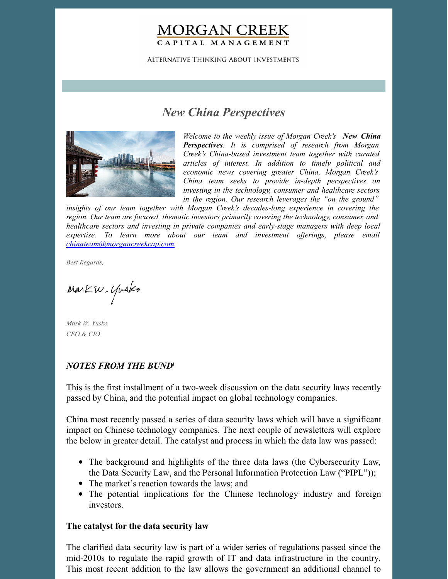# **MORGAN CREEK** CAPITAL MANAGEMENT

**ALTERNATIVE THINKING ABOUT INVESTMENTS** 

# *New China Perspectives*



*Welcome to the weekly issue of Morgan Creek's New China Perspectives. It is comprised of research from Morgan Creek's China-based investment team together with curated articles of interest. In addition to timely political and economic news covering greater China, Morgan Creek's China team seeks to provide in-depth perspectives on investing in the technology, consumer and healthcare sectors in the region. Our research leverages the "on the ground"*

*insights of our team together with Morgan Creek's decades-long experience in covering the region. Our team are focused, thematic investors primarily covering the technology, consumer, and healthcare sectors and investing in private companies and early-stage managers with deep local expertise. To learn more about our team and investment of erings, please email [chinateam@morgancreekcap.com](mailto:chinateam@morgancreekcap.com).*

*Best Regards,*

Markw. Yusko

*Mark W. Yusko CEO & CIO*

## *NOTES FROM THE BUND* 1

This is the first installment of a two-week discussion on the data security laws recently passed by China, and the potential impact on global technology companies.

China most recently passed a series of data security laws which will have a significant impact on Chinese technology companies. The next couple of newsletters will explore the below in greater detail. The catalyst and process in which the data law was passed:

- The background and highlights of the three data laws (the Cybersecurity Law, the Data Security Law, and the Personal Information Protection Law ("PIPL"));
- The market's reaction towards the laws; and
- The potential implications for the Chinese technology industry and foreign investors.

### **The catalyst for the data security law**

The clarified data security law is part of a wider series of regulations passed since the mid-2010s to regulate the rapid growth of IT and data infrastructure in the country. This most recent addition to the law allows the government an additional channel to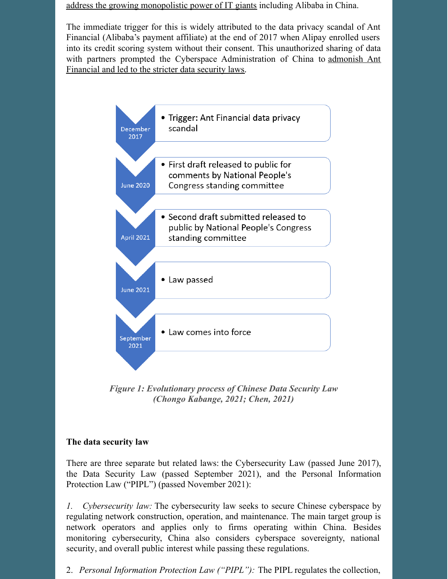address the growing [monopolistic](https://www.bloombergquint.com/politics/china-passes-law-to-strengthen-control-over-tech-firms-data) power of IT giants including Alibaba in China.

The immediate trigger for this is widely attributed to the data privacy scandal of Ant Financial (Alibaba's payment affiliate) at the end of 2017 when Alipay enrolled users into its credit scoring system without their consent. This unauthorized sharing of data with partners prompted the Cyberspace [Administration](https://www.reuters.com/article/us-ant-financial-china-idUSKBN1F006B) of China to admonish Ant Financial and led to the stricter data security laws.



*Figure 1: Evolutionary process of Chinese Data Security Law (Chongo Kabange, 2021; Chen, 2021)*

# **The data security law**

There are three separate but related laws: the Cybersecurity Law (passed June 2017), the Data Security Law (passed September 2021), and the Personal Information Protection Law ("PIPL") (passed November 2021):

*1. Cybersecurity law:* The cybersecurity law seeks to secure Chinese cyberspace by regulating network construction, operation, and maintenance. The main target group is network operators and applies only to firms operating within China. Besides monitoring cybersecurity, China also considers cyberspace sovereignty, national security, and overall public interest while passing these regulations.

2. *Personal Information Protection Law ("PIPL"):* The PIPL regulates the collection,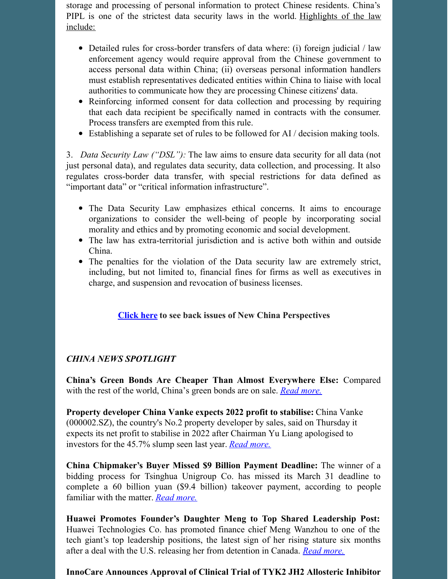storage and processing of personal information to protect Chinese residents. China's PIPL is one of the strictest data security laws in the world. [Highlights](https://www.regulationasia.com/china-consults-on-revisions-to-data-privacy-data-security-laws/) of the law include:

- Detailed rules for cross-border transfers of data where: (i) foreign judicial / law enforcement agency would require approval from the Chinese government to access personal data within China; (ii) overseas personal information handlers must establish representatives dedicated entities within China to liaise with local authorities to communicate how they are processing Chinese citizens' data.
- Reinforcing informed consent for data collection and processing by requiring that each data recipient be specifically named in contracts with the consumer. Process transfers are exempted from this rule.
- Establishing a separate set of rules to be followed for AI / decision making tools.

3. *Data Security Law ("DSL"):* The law aims to ensure data security for all data (not just personal data), and regulates data security, data collection, and processing. It also regulates cross-border data transfer, with special restrictions for data defined as "important data" or "critical information infrastructure".

- The Data Security Law emphasizes ethical concerns. It aims to encourage organizations to consider the well-being of people by incorporating social morality and ethics and by promoting economic and social development.
- The law has extra-territorial jurisdiction and is active both within and outside China.
- The penalties for the violation of the Data security law are extremely strict, including, but not limited to, financial fines for firms as well as executives in charge, and suspension and revocation of business licenses.

# **[Click](https://www.morgancreekcap.com/market-commentary/#investment-process) here to see back issues of New China Perspectives**

# *CHINA NEWS SPOTLIGHT*

**China's Green Bonds Are Cheaper Than Almost Everywhere Else:** Compared with the rest of the world, China's green bonds are on sale. *Read [more.](https://www.bloomberg.com/news/articles/2022-03-27/world-s-hottest-green-bond-market-lacks-greeniums-for-now)*

**Property developer China Vanke expects 2022 profit to stabilise:** China Vanke (000002.SZ), the country's No.2 property developer by sales, said on Thursday it expects its net profit to stabilise in 2022 after Chairman Yu Liang apologised to investors for the 45.7% slump seen last year. *Read [more.](https://www.reuters.com/business/property-developer-china-vanke-expects-2022-profit-stabilise-2022-03-31/)*

**China Chipmaker's Buyer Missed \$9 Billion Payment Deadline:** The winner of a bidding process for Tsinghua Unigroup Co. has missed its March 31 deadline to complete a 60 billion yuan (\$9.4 billion) takeover payment, according to people familiar with the matter. *Read [more.](https://www.bloomberg.com/news/articles/2022-04-01/china-chipmaker-s-buyer-said-to-miss-9-billion-payment-deadline)*

**Huawei Promotes Founder's Daughter Meng to Top Shared Leadership Post:** Huawei Technologies Co. has promoted finance chief Meng Wanzhou to one of the tech giant's top leadership positions, the latest sign of her rising stature six months after a deal with the U.S. releasing her from detention in Canada. *Read [more.](https://www.wsj.com/articles/huawei-promotes-founders-daughter-meng-to-top-shared-leadership-post-11648824281)*

# **InnoCare Announces Approval of Clinical Trial of TYK2 JH2 Allosteric Inhibitor**